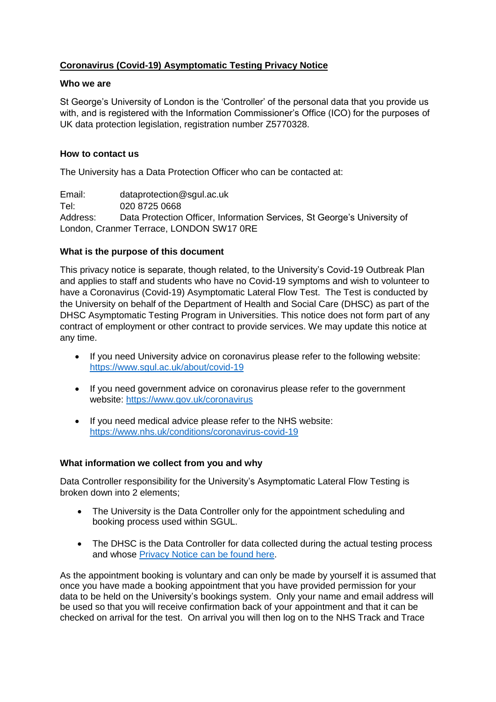# **Coronavirus (Covid-19) Asymptomatic Testing Privacy Notice**

## **Who we are**

St George's University of London is the 'Controller' of the personal data that you provide us with, and is registered with the Information Commissioner's Office (ICO) for the purposes of UK data protection legislation, registration number Z5770328.

## **How to contact us**

The University has a Data Protection Officer who can be contacted at:

Email: dataprotection@sgul.ac.uk Tel: 020 8725 0668 Address: Data Protection Officer, Information Services, St George's University of London, Cranmer Terrace, LONDON SW17 0RE

## **What is the purpose of this document**

This privacy notice is separate, though related, to the University's Covid-19 Outbreak Plan and applies to staff and students who have no Covid-19 symptoms and wish to volunteer to have a Coronavirus (Covid-19) Asymptomatic Lateral Flow Test. The Test is conducted by the University on behalf of the Department of Health and Social Care (DHSC) as part of the DHSC Asymptomatic Testing Program in Universities. This notice does not form part of any contract of employment or other contract to provide services. We may update this notice at any time.

- If you need University advice on coronavirus please refer to the following website: <https://www.sgul.ac.uk/about/covid-19>
- If you need government advice on coronavirus please refer to the government website: <https://www.gov.uk/coronavirus>
- If you need medical advice please refer to the NHS website: <https://www.nhs.uk/conditions/coronavirus-covid-19>

## **What information we collect from you and why**

Data Controller responsibility for the University's Asymptomatic Lateral Flow Testing is broken down into 2 elements;

- The University is the Data Controller only for the appointment scheduling and booking process used within SGUL.
- The DHSC is the Data Controller for data collected during the actual testing process and whose [Privacy Notice can be found here.](https://www.gov.uk/government/publications/coronavirus-covid-19-testing-privacy-information)

As the appointment booking is voluntary and can only be made by yourself it is assumed that once you have made a booking appointment that you have provided permission for your data to be held on the University's bookings system. Only your name and email address will be used so that you will receive confirmation back of your appointment and that it can be checked on arrival for the test. On arrival you will then log on to the NHS Track and Trace